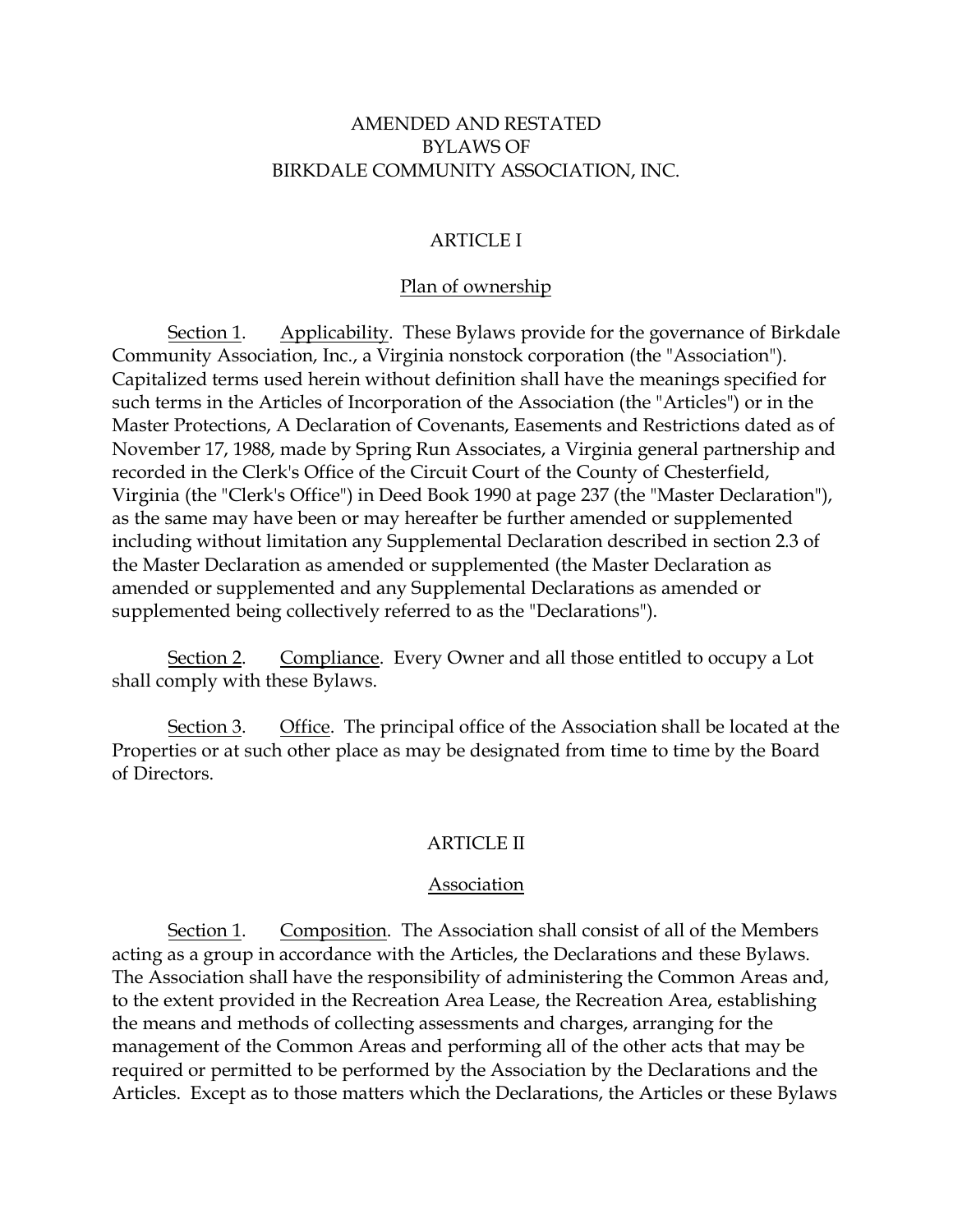#### AMENDED AND RESTATED BYLAWS OF BIRKDALE COMMUNITY ASSOCIATION, INC.

#### ARTICLE I

#### Plan of ownership

Section 1. Applicability. These Bylaws provide for the governance of Birkdale Community Association, Inc., a Virginia nonstock corporation (the "Association"). Capitalized terms used herein without definition shall have the meanings specified for such terms in the Articles of Incorporation of the Association (the "Articles") or in the Master Protections, A Declaration of Covenants, Easements and Restrictions dated as of November 17, 1988, made by Spring Run Associates, a Virginia general partnership and recorded in the Clerk's Office of the Circuit Court of the County of Chesterfield, Virginia (the "Clerk's Office") in Deed Book 1990 at page 237 (the "Master Declaration"), as the same may have been or may hereafter be further amended or supplemented including without limitation any Supplemental Declaration described in section 2.3 of the Master Declaration as amended or supplemented (the Master Declaration as amended or supplemented and any Supplemental Declarations as amended or supplemented being collectively referred to as the "Declarations").

Section 2. Compliance. Every Owner and all those entitled to occupy a Lot shall comply with these Bylaws.

Section 3. Office. The principal office of the Association shall be located at the Properties or at such other place as may be designated from time to time by the Board of Directors.

#### ARTICLE II

#### Association

Section 1. Composition. The Association shall consist of all of the Members acting as a group in accordance with the Articles, the Declarations and these Bylaws. The Association shall have the responsibility of administering the Common Areas and, to the extent provided in the Recreation Area Lease, the Recreation Area, establishing the means and methods of collecting assessments and charges, arranging for the management of the Common Areas and performing all of the other acts that may be required or permitted to be performed by the Association by the Declarations and the Articles. Except as to those matters which the Declarations, the Articles or these Bylaws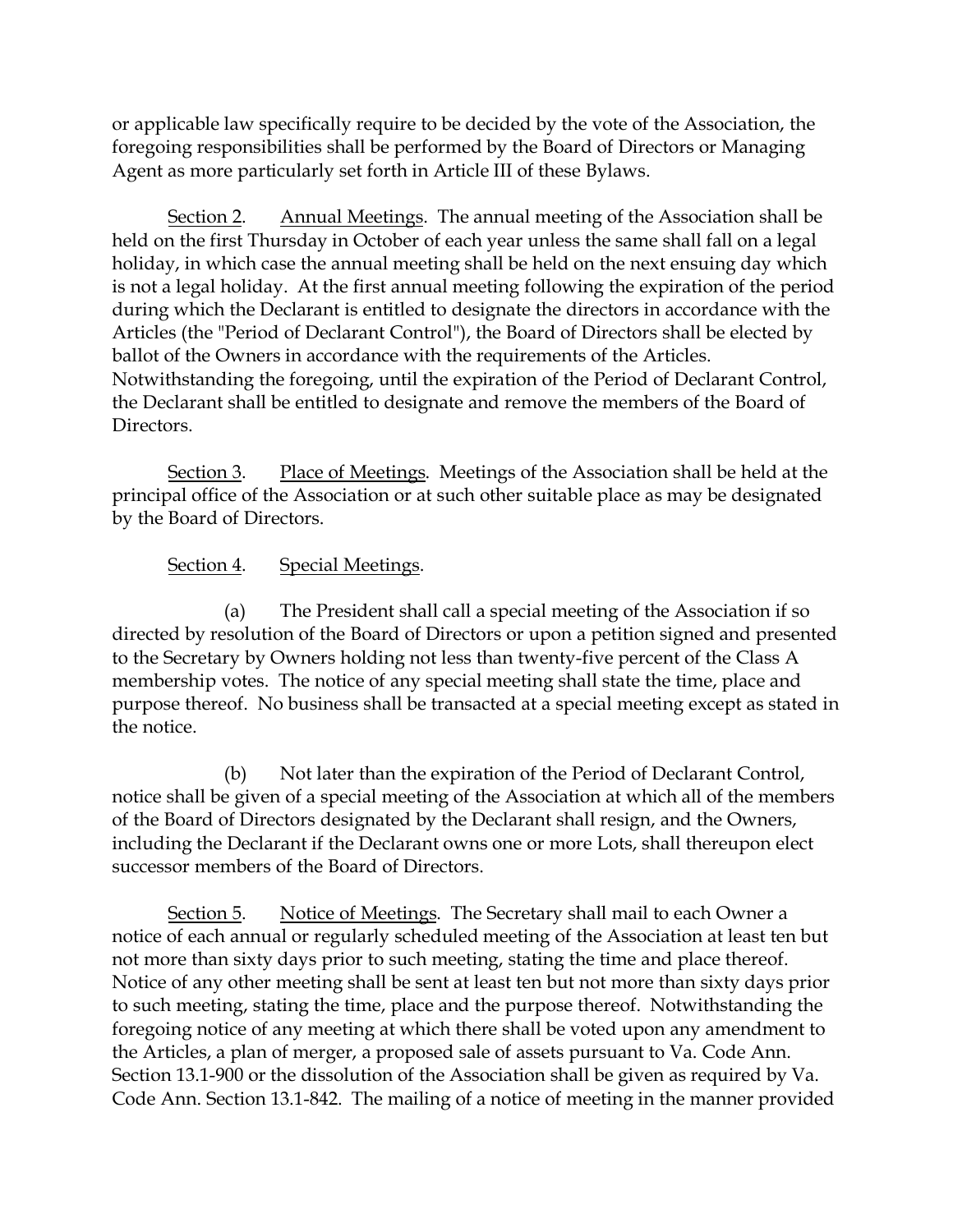or applicable law specifically require to be decided by the vote of the Association, the foregoing responsibilities shall be performed by the Board of Directors or Managing Agent as more particularly set forth in Article III of these Bylaws.

Section 2. Annual Meetings. The annual meeting of the Association shall be held on the first Thursday in October of each year unless the same shall fall on a legal holiday, in which case the annual meeting shall be held on the next ensuing day which is not a legal holiday. At the first annual meeting following the expiration of the period during which the Declarant is entitled to designate the directors in accordance with the Articles (the "Period of Declarant Control"), the Board of Directors shall be elected by ballot of the Owners in accordance with the requirements of the Articles. Notwithstanding the foregoing, until the expiration of the Period of Declarant Control, the Declarant shall be entitled to designate and remove the members of the Board of Directors.

Section 3. Place of Meetings. Meetings of the Association shall be held at the principal office of the Association or at such other suitable place as may be designated by the Board of Directors.

# Section 4. Special Meetings.

(a) The President shall call a special meeting of the Association if so directed by resolution of the Board of Directors or upon a petition signed and presented to the Secretary by Owners holding not less than twenty-five percent of the Class A membership votes. The notice of any special meeting shall state the time, place and purpose thereof. No business shall be transacted at a special meeting except as stated in the notice.

(b) Not later than the expiration of the Period of Declarant Control, notice shall be given of a special meeting of the Association at which all of the members of the Board of Directors designated by the Declarant shall resign, and the Owners, including the Declarant if the Declarant owns one or more Lots, shall thereupon elect successor members of the Board of Directors.

Section 5. Notice of Meetings. The Secretary shall mail to each Owner a notice of each annual or regularly scheduled meeting of the Association at least ten but not more than sixty days prior to such meeting, stating the time and place thereof. Notice of any other meeting shall be sent at least ten but not more than sixty days prior to such meeting, stating the time, place and the purpose thereof. Notwithstanding the foregoing notice of any meeting at which there shall be voted upon any amendment to the Articles, a plan of merger, a proposed sale of assets pursuant to Va. Code Ann. Section 13.1-900 or the dissolution of the Association shall be given as required by Va. Code Ann. Section 13.1-842. The mailing of a notice of meeting in the manner provided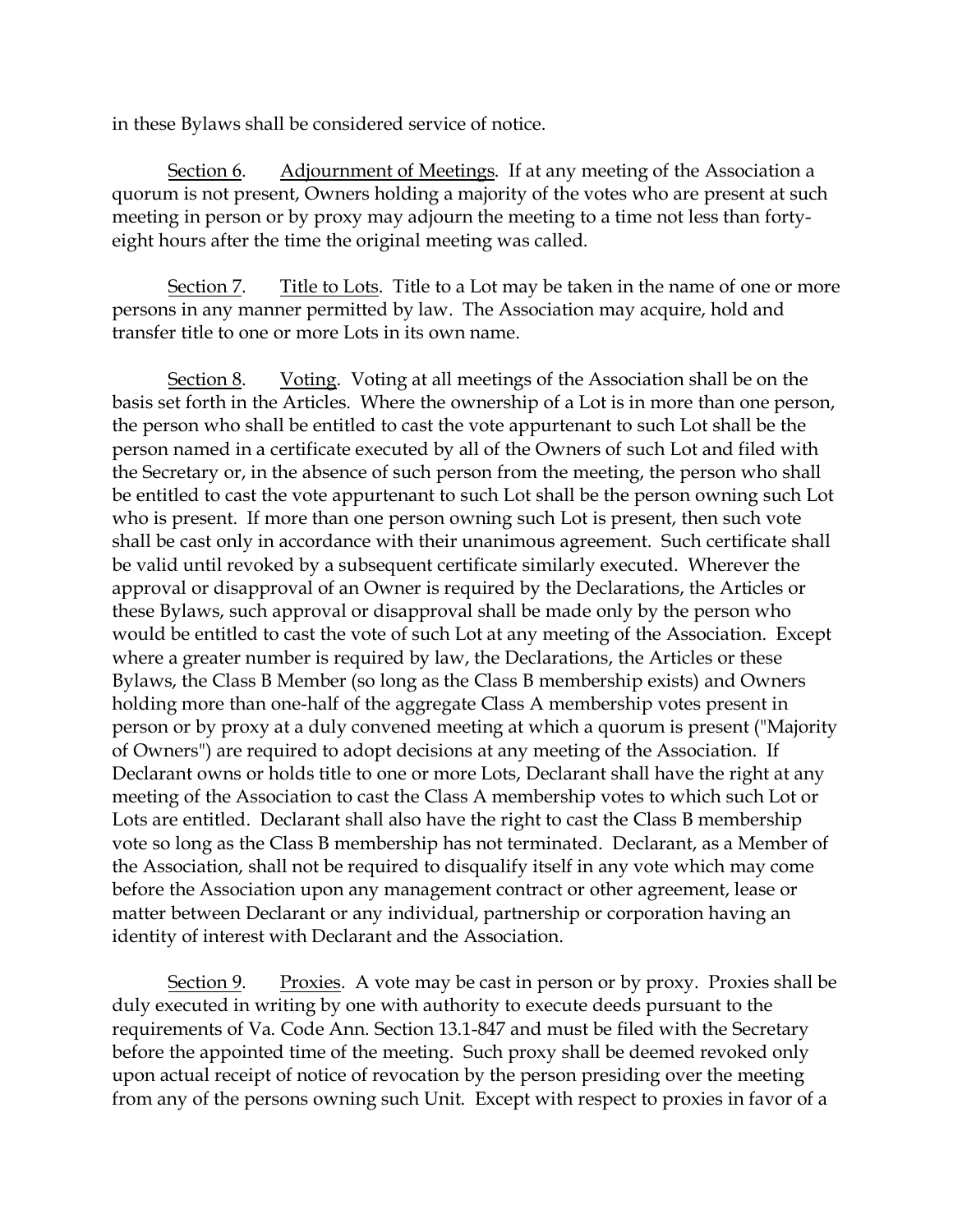in these Bylaws shall be considered service of notice.

Section 6. Adjournment of Meetings. If at any meeting of the Association a quorum is not present, Owners holding a majority of the votes who are present at such meeting in person or by proxy may adjourn the meeting to a time not less than fortyeight hours after the time the original meeting was called.

Section 7. Title to Lots. Title to a Lot may be taken in the name of one or more persons in any manner permitted by law. The Association may acquire, hold and transfer title to one or more Lots in its own name.

Section 8. Voting. Voting at all meetings of the Association shall be on the basis set forth in the Articles. Where the ownership of a Lot is in more than one person, the person who shall be entitled to cast the vote appurtenant to such Lot shall be the person named in a certificate executed by all of the Owners of such Lot and filed with the Secretary or, in the absence of such person from the meeting, the person who shall be entitled to cast the vote appurtenant to such Lot shall be the person owning such Lot who is present. If more than one person owning such Lot is present, then such vote shall be cast only in accordance with their unanimous agreement. Such certificate shall be valid until revoked by a subsequent certificate similarly executed. Wherever the approval or disapproval of an Owner is required by the Declarations, the Articles or these Bylaws, such approval or disapproval shall be made only by the person who would be entitled to cast the vote of such Lot at any meeting of the Association. Except where a greater number is required by law, the Declarations, the Articles or these Bylaws, the Class B Member (so long as the Class B membership exists) and Owners holding more than one-half of the aggregate Class A membership votes present in person or by proxy at a duly convened meeting at which a quorum is present ("Majority of Owners") are required to adopt decisions at any meeting of the Association. If Declarant owns or holds title to one or more Lots, Declarant shall have the right at any meeting of the Association to cast the Class A membership votes to which such Lot or Lots are entitled. Declarant shall also have the right to cast the Class B membership vote so long as the Class B membership has not terminated. Declarant, as a Member of the Association, shall not be required to disqualify itself in any vote which may come before the Association upon any management contract or other agreement, lease or matter between Declarant or any individual, partnership or corporation having an identity of interest with Declarant and the Association.

Section 9. Proxies. A vote may be cast in person or by proxy. Proxies shall be duly executed in writing by one with authority to execute deeds pursuant to the requirements of Va. Code Ann. Section 13.1-847 and must be filed with the Secretary before the appointed time of the meeting. Such proxy shall be deemed revoked only upon actual receipt of notice of revocation by the person presiding over the meeting from any of the persons owning such Unit. Except with respect to proxies in favor of a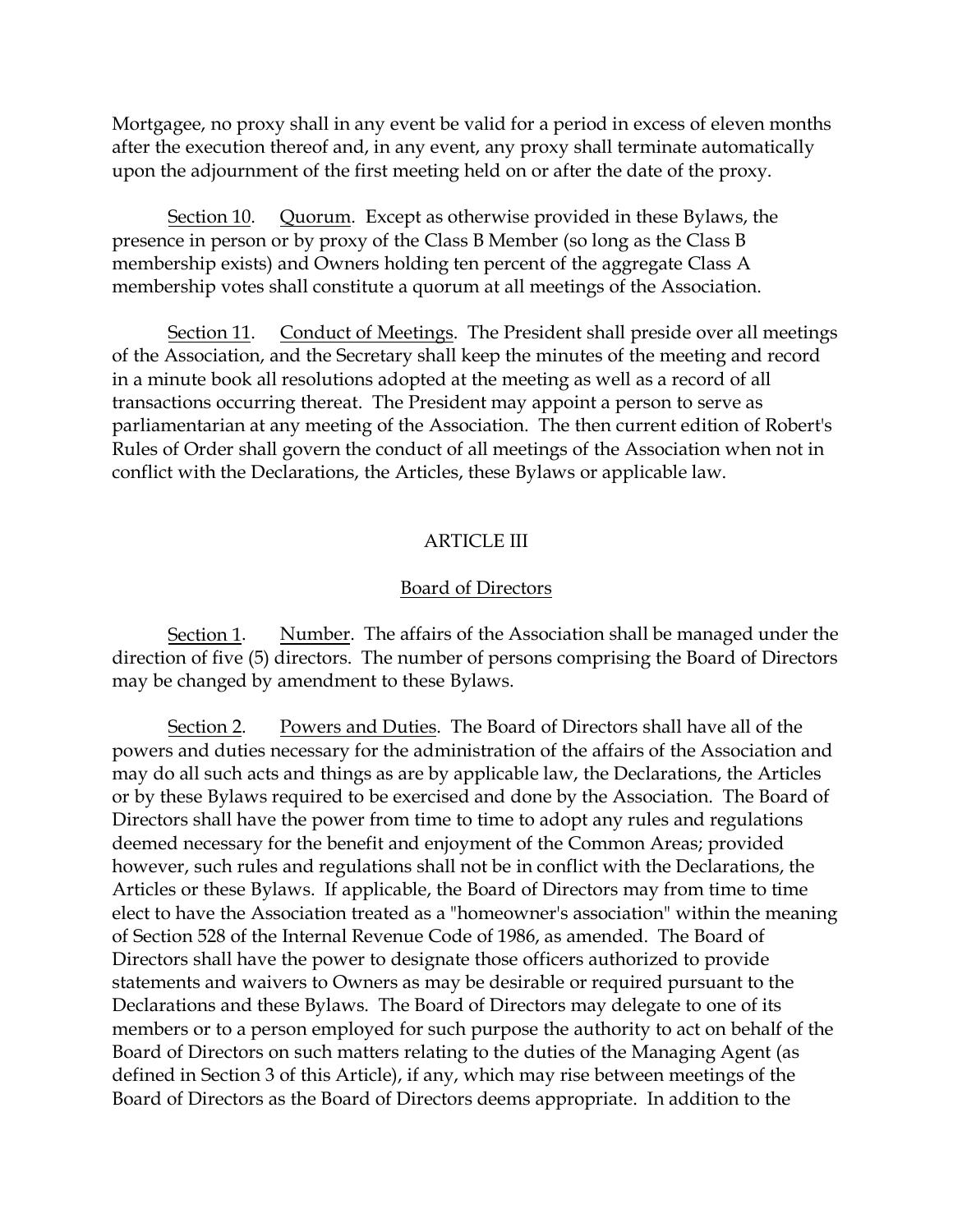Mortgagee, no proxy shall in any event be valid for a period in excess of eleven months after the execution thereof and, in any event, any proxy shall terminate automatically upon the adjournment of the first meeting held on or after the date of the proxy.

Section 10. Quorum. Except as otherwise provided in these Bylaws, the presence in person or by proxy of the Class B Member (so long as the Class B membership exists) and Owners holding ten percent of the aggregate Class A membership votes shall constitute a quorum at all meetings of the Association.

Section 11. Conduct of Meetings. The President shall preside over all meetings of the Association, and the Secretary shall keep the minutes of the meeting and record in a minute book all resolutions adopted at the meeting as well as a record of all transactions occurring thereat. The President may appoint a person to serve as parliamentarian at any meeting of the Association. The then current edition of Robert's Rules of Order shall govern the conduct of all meetings of the Association when not in conflict with the Declarations, the Articles, these Bylaws or applicable law.

#### ARTICLE III

#### Board of Directors

Section 1. Number. The affairs of the Association shall be managed under the direction of five (5) directors. The number of persons comprising the Board of Directors may be changed by amendment to these Bylaws.

Section 2. Powers and Duties. The Board of Directors shall have all of the powers and duties necessary for the administration of the affairs of the Association and may do all such acts and things as are by applicable law, the Declarations, the Articles or by these Bylaws required to be exercised and done by the Association. The Board of Directors shall have the power from time to time to adopt any rules and regulations deemed necessary for the benefit and enjoyment of the Common Areas; provided however, such rules and regulations shall not be in conflict with the Declarations, the Articles or these Bylaws. If applicable, the Board of Directors may from time to time elect to have the Association treated as a "homeowner's association" within the meaning of Section 528 of the Internal Revenue Code of 1986, as amended. The Board of Directors shall have the power to designate those officers authorized to provide statements and waivers to Owners as may be desirable or required pursuant to the Declarations and these Bylaws. The Board of Directors may delegate to one of its members or to a person employed for such purpose the authority to act on behalf of the Board of Directors on such matters relating to the duties of the Managing Agent (as defined in Section 3 of this Article), if any, which may rise between meetings of the Board of Directors as the Board of Directors deems appropriate. In addition to the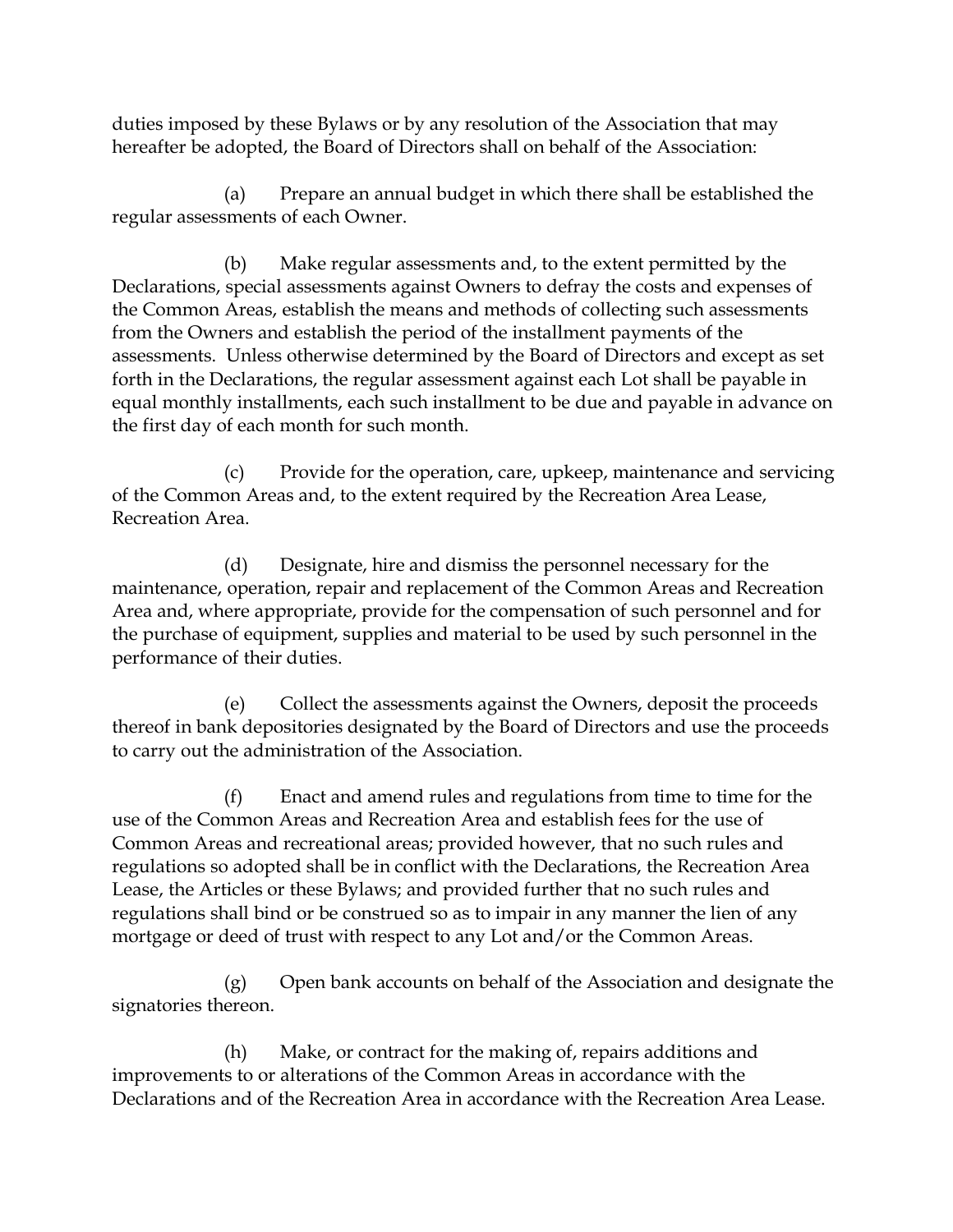duties imposed by these Bylaws or by any resolution of the Association that may hereafter be adopted, the Board of Directors shall on behalf of the Association:

(a) Prepare an annual budget in which there shall be established the regular assessments of each Owner.

(b) Make regular assessments and, to the extent permitted by the Declarations, special assessments against Owners to defray the costs and expenses of the Common Areas, establish the means and methods of collecting such assessments from the Owners and establish the period of the installment payments of the assessments. Unless otherwise determined by the Board of Directors and except as set forth in the Declarations, the regular assessment against each Lot shall be payable in equal monthly installments, each such installment to be due and payable in advance on the first day of each month for such month.

(c) Provide for the operation, care, upkeep, maintenance and servicing of the Common Areas and, to the extent required by the Recreation Area Lease, Recreation Area.

(d) Designate, hire and dismiss the personnel necessary for the maintenance, operation, repair and replacement of the Common Areas and Recreation Area and, where appropriate, provide for the compensation of such personnel and for the purchase of equipment, supplies and material to be used by such personnel in the performance of their duties.

(e) Collect the assessments against the Owners, deposit the proceeds thereof in bank depositories designated by the Board of Directors and use the proceeds to carry out the administration of the Association.

(f) Enact and amend rules and regulations from time to time for the use of the Common Areas and Recreation Area and establish fees for the use of Common Areas and recreational areas; provided however, that no such rules and regulations so adopted shall be in conflict with the Declarations, the Recreation Area Lease, the Articles or these Bylaws; and provided further that no such rules and regulations shall bind or be construed so as to impair in any manner the lien of any mortgage or deed of trust with respect to any Lot and/or the Common Areas.

(g) Open bank accounts on behalf of the Association and designate the signatories thereon.

(h) Make, or contract for the making of, repairs additions and improvements to or alterations of the Common Areas in accordance with the Declarations and of the Recreation Area in accordance with the Recreation Area Lease.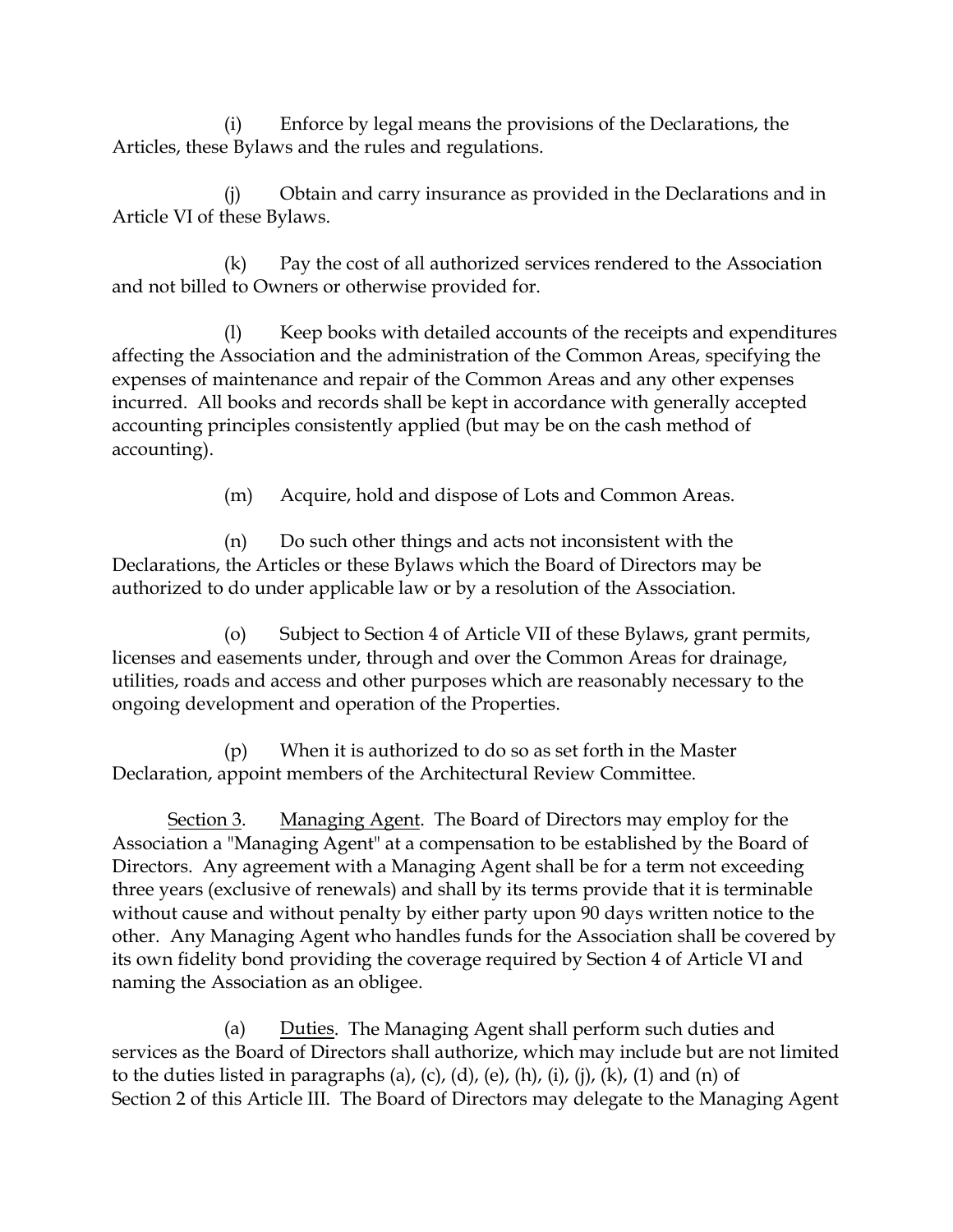(i) Enforce by legal means the provisions of the Declarations, the Articles, these Bylaws and the rules and regulations.

(j) Obtain and carry insurance as provided in the Declarations and in Article VI of these Bylaws.

(k) Pay the cost of all authorized services rendered to the Association and not billed to Owners or otherwise provided for.

(l) Keep books with detailed accounts of the receipts and expenditures affecting the Association and the administration of the Common Areas, specifying the expenses of maintenance and repair of the Common Areas and any other expenses incurred. All books and records shall be kept in accordance with generally accepted accounting principles consistently applied (but may be on the cash method of accounting).

(m) Acquire, hold and dispose of Lots and Common Areas.

(n) Do such other things and acts not inconsistent with the Declarations, the Articles or these Bylaws which the Board of Directors may be authorized to do under applicable law or by a resolution of the Association.

(o) Subject to Section 4 of Article VII of these Bylaws, grant permits, licenses and easements under, through and over the Common Areas for drainage, utilities, roads and access and other purposes which are reasonably necessary to the ongoing development and operation of the Properties.

(p) When it is authorized to do so as set forth in the Master Declaration, appoint members of the Architectural Review Committee.

Section 3. Managing Agent. The Board of Directors may employ for the Association a "Managing Agent" at a compensation to be established by the Board of Directors. Any agreement with a Managing Agent shall be for a term not exceeding three years (exclusive of renewals) and shall by its terms provide that it is terminable without cause and without penalty by either party upon 90 days written notice to the other. Any Managing Agent who handles funds for the Association shall be covered by its own fidelity bond providing the coverage required by Section 4 of Article VI and naming the Association as an obligee.

(a) Duties. The Managing Agent shall perform such duties and services as the Board of Directors shall authorize, which may include but are not limited to the duties listed in paragraphs (a), (c), (d), (e), (h), (i), (j), (k), (1) and (n) of Section 2 of this Article III. The Board of Directors may delegate to the Managing Agent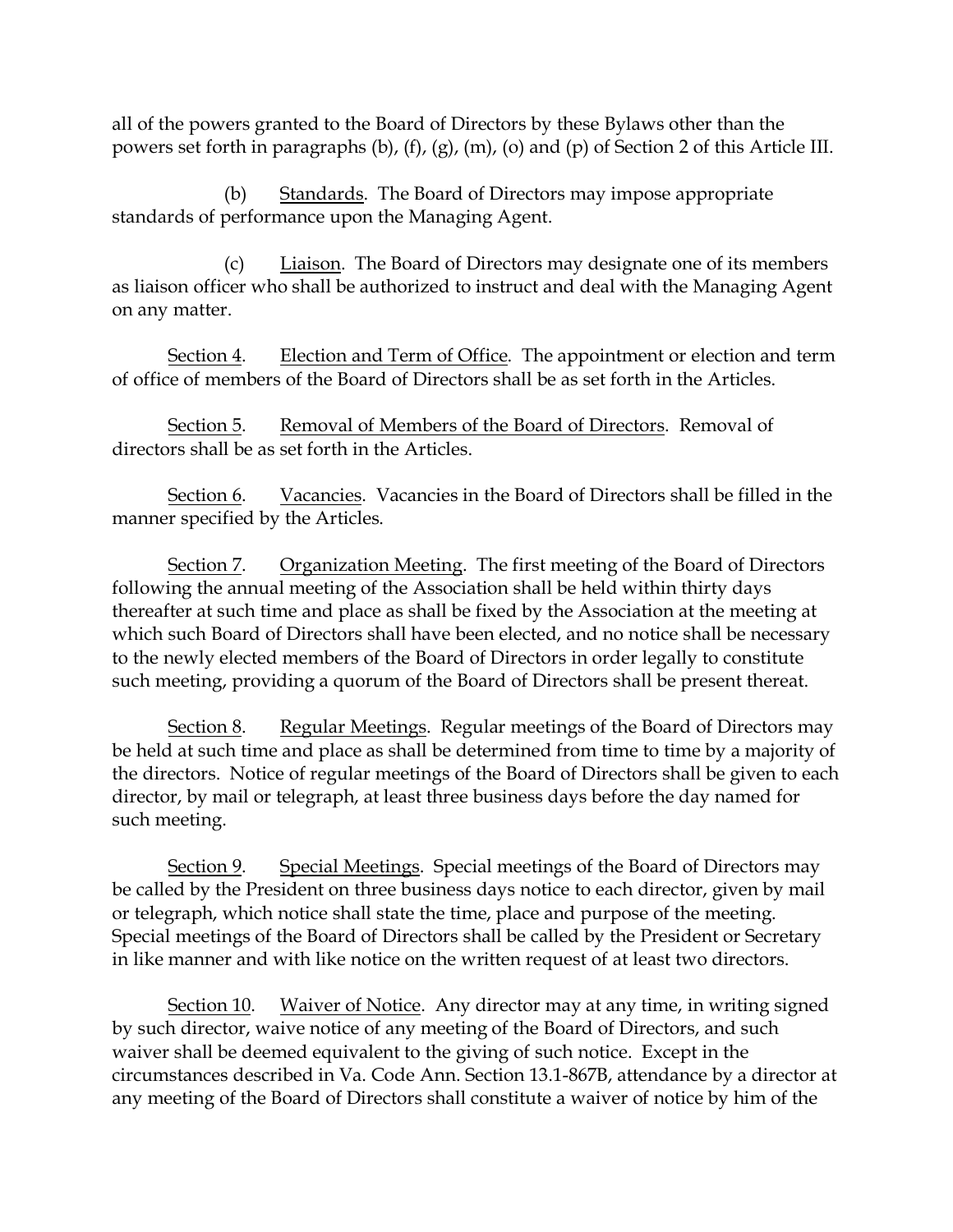all of the powers granted to the Board of Directors by these Bylaws other than the powers set forth in paragraphs (b), (f), (g), (m), (o) and (p) of Section 2 of this Article III.

(b) Standards. The Board of Directors may impose appropriate standards of performance upon the Managing Agent.

(c) Liaison. The Board of Directors may designate one of its members as liaison officer who shall be authorized to instruct and deal with the Managing Agent on any matter.

Section 4. Election and Term of Office. The appointment or election and term of office of members of the Board of Directors shall be as set forth in the Articles.

Section 5. Removal of Members of the Board of Directors. Removal of directors shall be as set forth in the Articles.

Section 6. Vacancies. Vacancies in the Board of Directors shall be filled in the manner specified by the Articles.

Section 7. Organization Meeting. The first meeting of the Board of Directors following the annual meeting of the Association shall be held within thirty days thereafter at such time and place as shall be fixed by the Association at the meeting at which such Board of Directors shall have been elected, and no notice shall be necessary to the newly elected members of the Board of Directors in order legally to constitute such meeting, providing a quorum of the Board of Directors shall be present thereat.

Section 8. Regular Meetings. Regular meetings of the Board of Directors may be held at such time and place as shall be determined from time to time by a majority of the directors. Notice of regular meetings of the Board of Directors shall be given to each director, by mail or telegraph, at least three business days before the day named for such meeting.

Section 9. Special Meetings. Special meetings of the Board of Directors may be called by the President on three business days notice to each director, given by mail or telegraph, which notice shall state the time, place and purpose of the meeting. Special meetings of the Board of Directors shall be called by the President or Secretary in like manner and with like notice on the written request of at least two directors.

Section 10. Waiver of Notice. Any director may at any time, in writing signed by such director, waive notice of any meeting of the Board of Directors, and such waiver shall be deemed equivalent to the giving of such notice. Except in the circumstances described in Va. Code Ann. Section 13.1-867B, attendance by a director at any meeting of the Board of Directors shall constitute a waiver of notice by him of the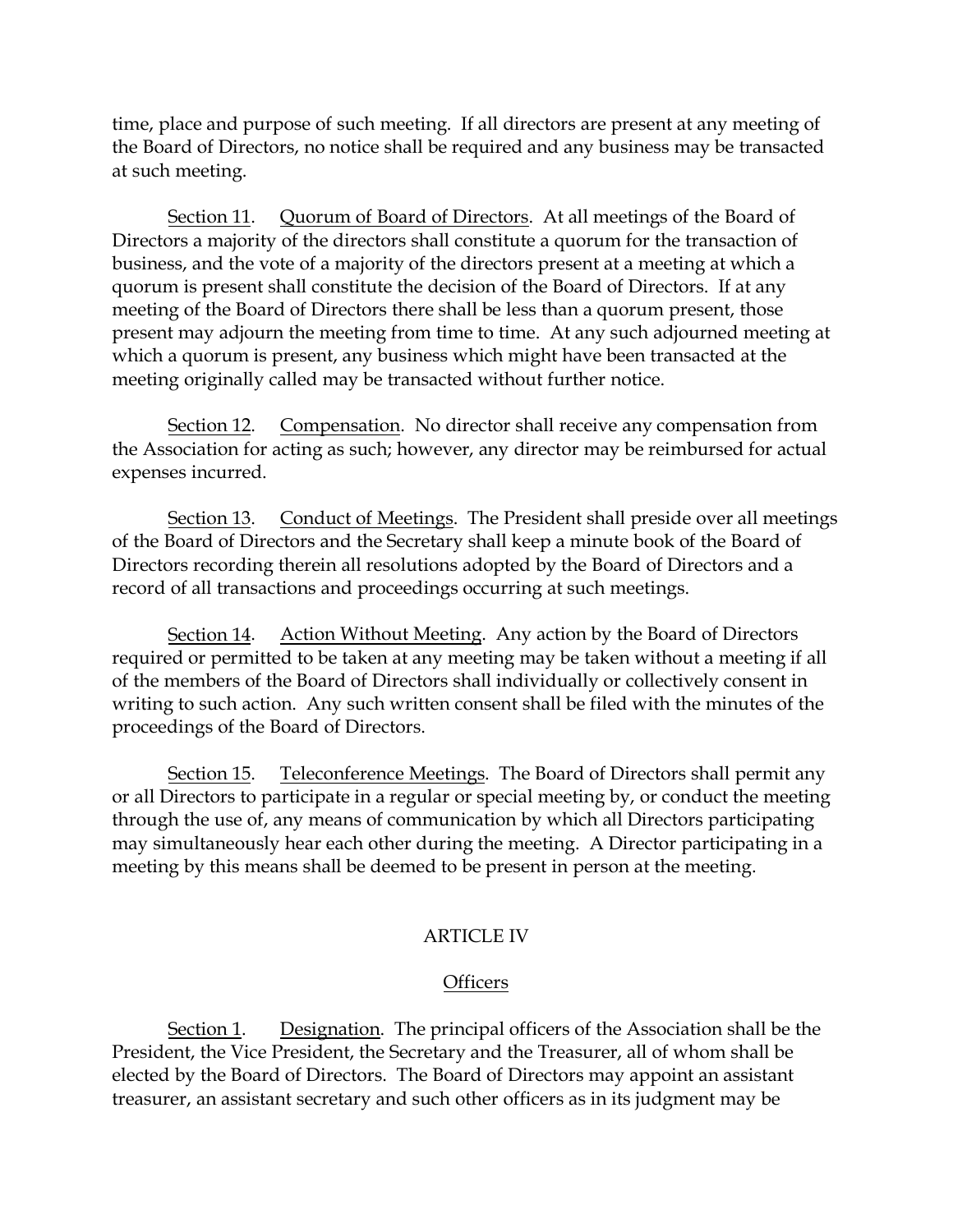time, place and purpose of such meeting. If all directors are present at any meeting of the Board of Directors, no notice shall be required and any business may be transacted at such meeting.

Section 11. Quorum of Board of Directors. At all meetings of the Board of Directors a majority of the directors shall constitute a quorum for the transaction of business, and the vote of a majority of the directors present at a meeting at which a quorum is present shall constitute the decision of the Board of Directors. If at any meeting of the Board of Directors there shall be less than a quorum present, those present may adjourn the meeting from time to time. At any such adjourned meeting at which a quorum is present, any business which might have been transacted at the meeting originally called may be transacted without further notice.

Section 12. Compensation. No director shall receive any compensation from the Association for acting as such; however, any director may be reimbursed for actual expenses incurred.

Section 13. Conduct of Meetings. The President shall preside over all meetings of the Board of Directors and the Secretary shall keep a minute book of the Board of Directors recording therein all resolutions adopted by the Board of Directors and a record of all transactions and proceedings occurring at such meetings.

Section 14. Action Without Meeting. Any action by the Board of Directors required or permitted to be taken at any meeting may be taken without a meeting if all of the members of the Board of Directors shall individually or collectively consent in writing to such action. Any such written consent shall be filed with the minutes of the proceedings of the Board of Directors.

Section 15. Teleconference Meetings. The Board of Directors shall permit any or all Directors to participate in a regular or special meeting by, or conduct the meeting through the use of, any means of communication by which all Directors participating may simultaneously hear each other during the meeting. A Director participating in a meeting by this means shall be deemed to be present in person at the meeting.

# ARTICLE IV

#### **Officers**

Section 1. Designation. The principal officers of the Association shall be the President, the Vice President, the Secretary and the Treasurer, all of whom shall be elected by the Board of Directors. The Board of Directors may appoint an assistant treasurer, an assistant secretary and such other officers as in its judgment may be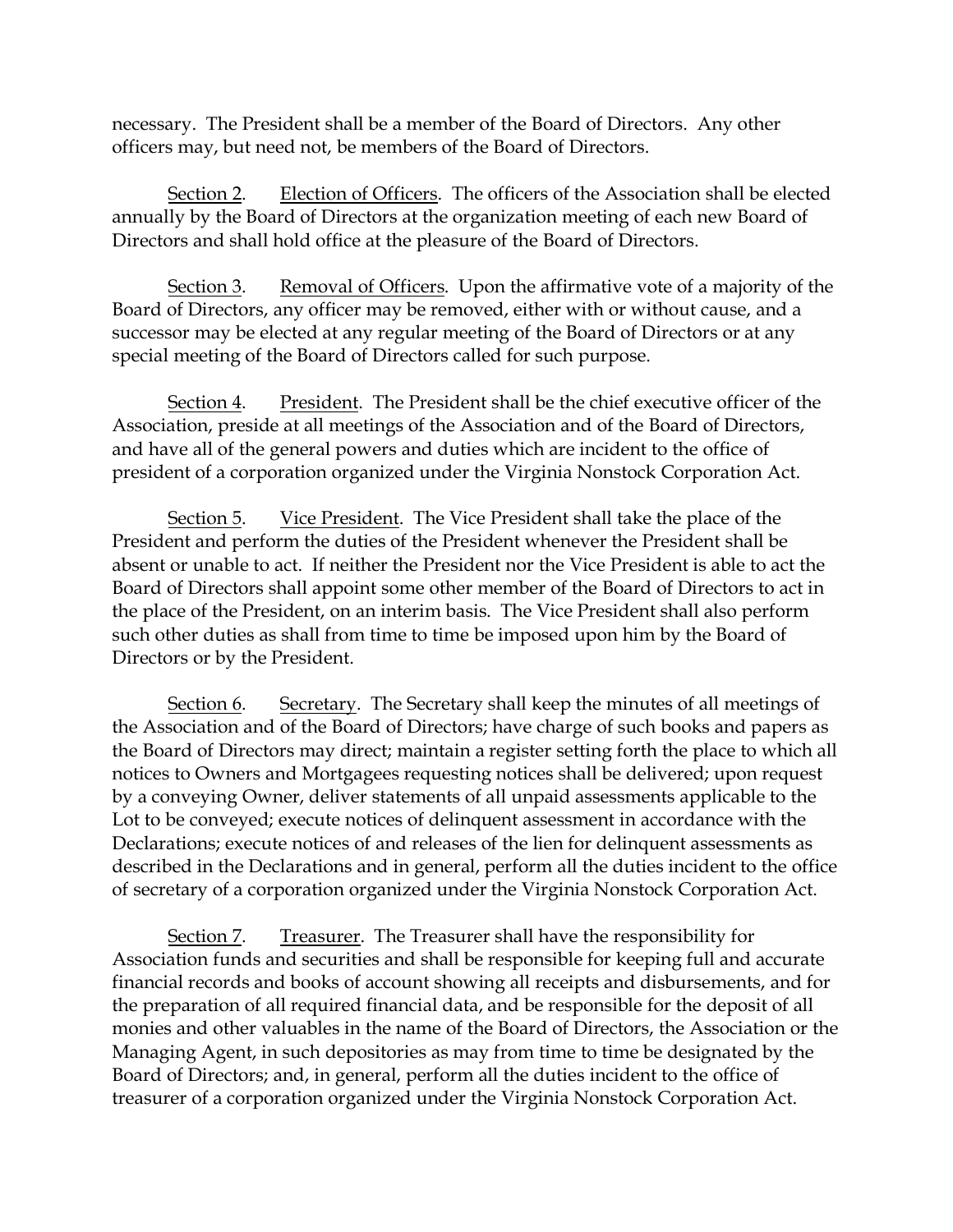necessary. The President shall be a member of the Board of Directors. Any other officers may, but need not, be members of the Board of Directors.

Section 2. Election of Officers. The officers of the Association shall be elected annually by the Board of Directors at the organization meeting of each new Board of Directors and shall hold office at the pleasure of the Board of Directors.

Section 3. Removal of Officers. Upon the affirmative vote of a majority of the Board of Directors, any officer may be removed, either with or without cause, and a successor may be elected at any regular meeting of the Board of Directors or at any special meeting of the Board of Directors called for such purpose.

Section 4. President. The President shall be the chief executive officer of the Association, preside at all meetings of the Association and of the Board of Directors, and have all of the general powers and duties which are incident to the office of president of a corporation organized under the Virginia Nonstock Corporation Act.

Section 5. Vice President. The Vice President shall take the place of the President and perform the duties of the President whenever the President shall be absent or unable to act. If neither the President nor the Vice President is able to act the Board of Directors shall appoint some other member of the Board of Directors to act in the place of the President, on an interim basis. The Vice President shall also perform such other duties as shall from time to time be imposed upon him by the Board of Directors or by the President.

Section 6. Secretary. The Secretary shall keep the minutes of all meetings of the Association and of the Board of Directors; have charge of such books and papers as the Board of Directors may direct; maintain a register setting forth the place to which all notices to Owners and Mortgagees requesting notices shall be delivered; upon request by a conveying Owner, deliver statements of all unpaid assessments applicable to the Lot to be conveyed; execute notices of delinquent assessment in accordance with the Declarations; execute notices of and releases of the lien for delinquent assessments as described in the Declarations and in general, perform all the duties incident to the office of secretary of a corporation organized under the Virginia Nonstock Corporation Act.

Section 7. Treasurer. The Treasurer shall have the responsibility for Association funds and securities and shall be responsible for keeping full and accurate financial records and books of account showing all receipts and disbursements, and for the preparation of all required financial data, and be responsible for the deposit of all monies and other valuables in the name of the Board of Directors, the Association or the Managing Agent, in such depositories as may from time to time be designated by the Board of Directors; and, in general, perform all the duties incident to the office of treasurer of a corporation organized under the Virginia Nonstock Corporation Act.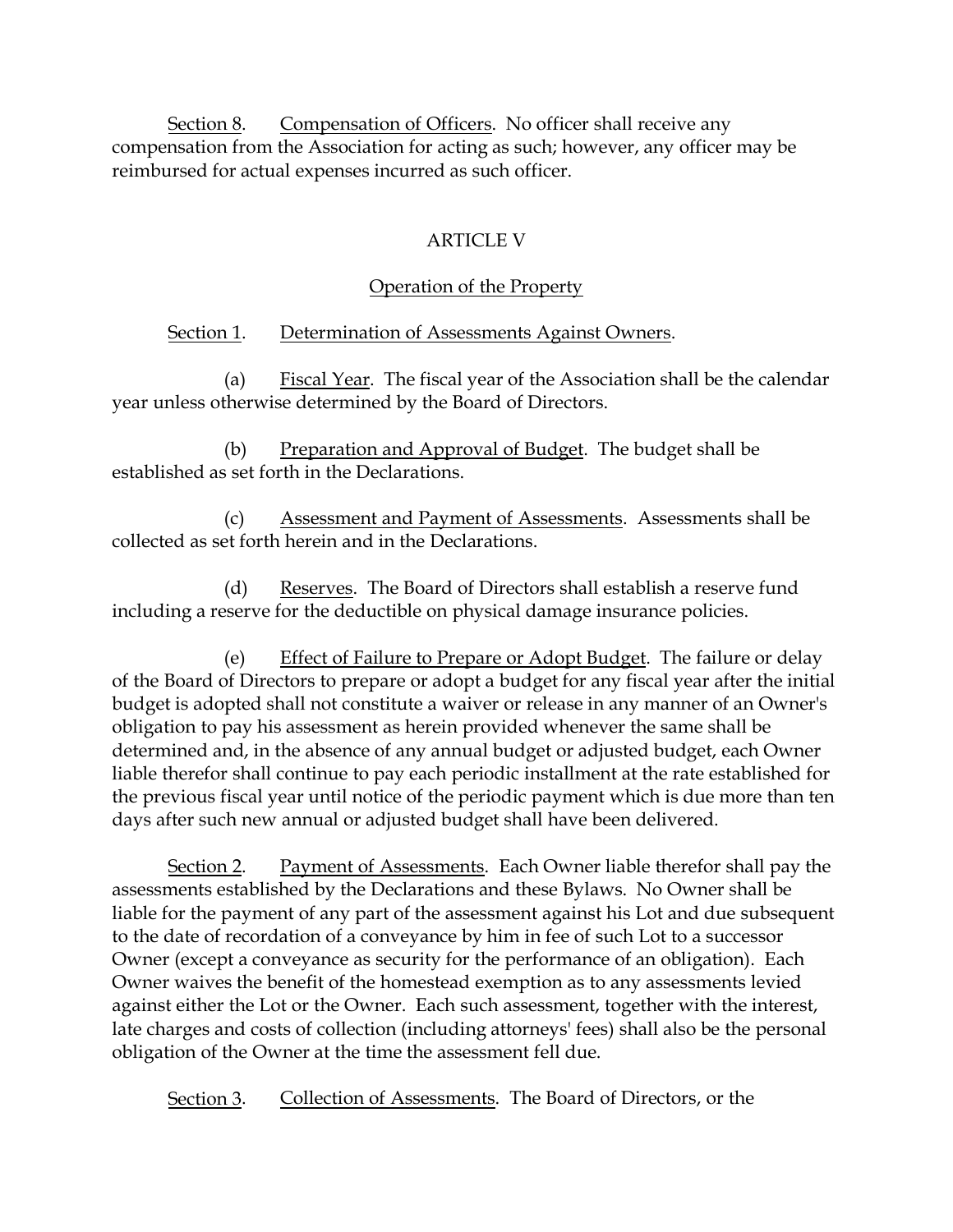Section 8. Compensation of Officers. No officer shall receive any compensation from the Association for acting as such; however, any officer may be reimbursed for actual expenses incurred as such officer.

# ARTICLE V

# Operation of the Property

# Section 1. Determination of Assessments Against Owners.

(a) Fiscal Year. The fiscal year of the Association shall be the calendar year unless otherwise determined by the Board of Directors.

(b) Preparation and Approval of Budget. The budget shall be established as set forth in the Declarations.

Assessment and Payment of Assessments. Assessments shall be collected as set forth herein and in the Declarations.

(d) Reserves. The Board of Directors shall establish a reserve fund including a reserve for the deductible on physical damage insurance policies.

(e) Effect of Failure to Prepare or Adopt Budget. The failure or delay of the Board of Directors to prepare or adopt a budget for any fiscal year after the initial budget is adopted shall not constitute a waiver or release in any manner of an Owner's obligation to pay his assessment as herein provided whenever the same shall be determined and, in the absence of any annual budget or adjusted budget, each Owner liable therefor shall continue to pay each periodic installment at the rate established for the previous fiscal year until notice of the periodic payment which is due more than ten days after such new annual or adjusted budget shall have been delivered.

Section 2. Payment of Assessments. Each Owner liable therefor shall pay the assessments established by the Declarations and these Bylaws. No Owner shall be liable for the payment of any part of the assessment against his Lot and due subsequent to the date of recordation of a conveyance by him in fee of such Lot to a successor Owner (except a conveyance as security for the performance of an obligation). Each Owner waives the benefit of the homestead exemption as to any assessments levied against either the Lot or the Owner. Each such assessment, together with the interest, late charges and costs of collection (including attorneys' fees) shall also be the personal obligation of the Owner at the time the assessment fell due.

Section 3. Collection of Assessments. The Board of Directors, or the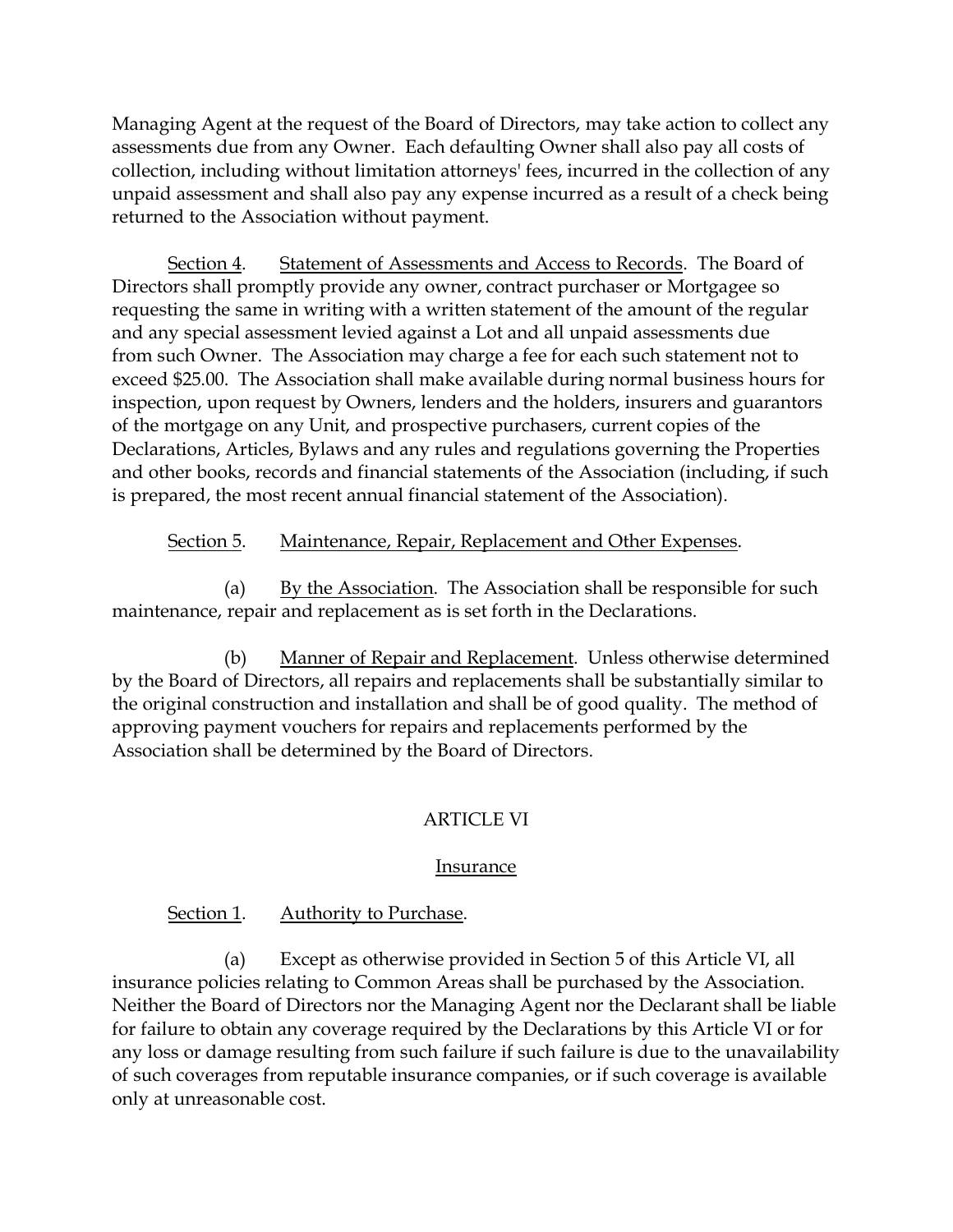Managing Agent at the request of the Board of Directors, may take action to collect any assessments due from any Owner. Each defaulting Owner shall also pay all costs of collection, including without limitation attorneys' fees, incurred in the collection of any unpaid assessment and shall also pay any expense incurred as a result of a check being returned to the Association without payment.

Section 4. Statement of Assessments and Access to Records. The Board of Directors shall promptly provide any owner, contract purchaser or Mortgagee so requesting the same in writing with a written statement of the amount of the regular and any special assessment levied against a Lot and all unpaid assessments due from such Owner. The Association may charge a fee for each such statement not to exceed \$25.00. The Association shall make available during normal business hours for inspection, upon request by Owners, lenders and the holders, insurers and guarantors of the mortgage on any Unit, and prospective purchasers, current copies of the Declarations, Articles, Bylaws and any rules and regulations governing the Properties and other books, records and financial statements of the Association (including, if such is prepared, the most recent annual financial statement of the Association).

### Section 5. Maintenance, Repair, Replacement and Other Expenses.

(a) By the Association. The Association shall be responsible for such maintenance, repair and replacement as is set forth in the Declarations.

(b) Manner of Repair and Replacement. Unless otherwise determined by the Board of Directors, all repairs and replacements shall be substantially similar to the original construction and installation and shall be of good quality. The method of approving payment vouchers for repairs and replacements performed by the Association shall be determined by the Board of Directors.

# ARTICLE VI

#### Insurance

# Section 1. Authority to Purchase.

(a) Except as otherwise provided in Section 5 of this Article VI, all insurance policies relating to Common Areas shall be purchased by the Association. Neither the Board of Directors nor the Managing Agent nor the Declarant shall be liable for failure to obtain any coverage required by the Declarations by this Article VI or for any loss or damage resulting from such failure if such failure is due to the unavailability of such coverages from reputable insurance companies, or if such coverage is available only at unreasonable cost.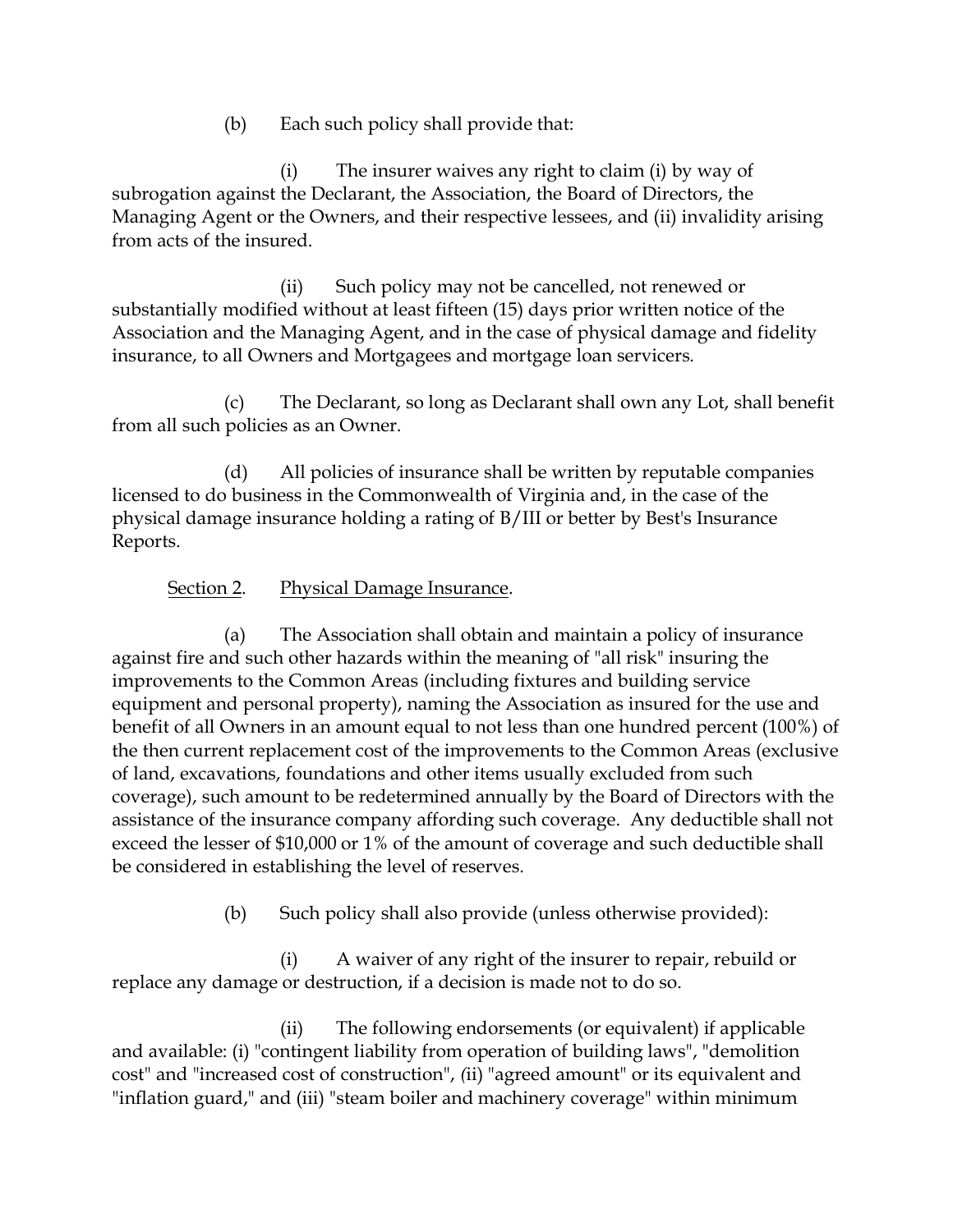(b) Each such policy shall provide that:

(i) The insurer waives any right to claim (i) by way of subrogation against the Declarant, the Association, the Board of Directors, the Managing Agent or the Owners, and their respective lessees, and (ii) invalidity arising from acts of the insured.

(ii) Such policy may not be cancelled, not renewed or substantially modified without at least fifteen (15) days prior written notice of the Association and the Managing Agent, and in the case of physical damage and fidelity insurance, to all Owners and Mortgagees and mortgage loan servicers.

(c) The Declarant, so long as Declarant shall own any Lot, shall benefit from all such policies as an Owner.

(d) All policies of insurance shall be written by reputable companies licensed to do business in the Commonwealth of Virginia and, in the case of the physical damage insurance holding a rating of B/III or better by Best's Insurance Reports.

# Section 2. Physical Damage Insurance.

(a) The Association shall obtain and maintain a policy of insurance against fire and such other hazards within the meaning of "all risk" insuring the improvements to the Common Areas (including fixtures and building service equipment and personal property), naming the Association as insured for the use and benefit of all Owners in an amount equal to not less than one hundred percent (100%) of the then current replacement cost of the improvements to the Common Areas (exclusive of land, excavations, foundations and other items usually excluded from such coverage), such amount to be redetermined annually by the Board of Directors with the assistance of the insurance company affording such coverage. Any deductible shall not exceed the lesser of \$10,000 or 1% of the amount of coverage and such deductible shall be considered in establishing the level of reserves.

(b) Such policy shall also provide (unless otherwise provided):

(i) A waiver of any right of the insurer to repair, rebuild or replace any damage or destruction, if a decision is made not to do so.

(ii) The following endorsements (or equivalent) if applicable and available: (i) "contingent liability from operation of building laws", "demolition cost" and "increased cost of construction", *(*ii) "agreed amount" or its equivalent and "inflation guard," and (iii) "steam boiler and machinery coverage" within minimum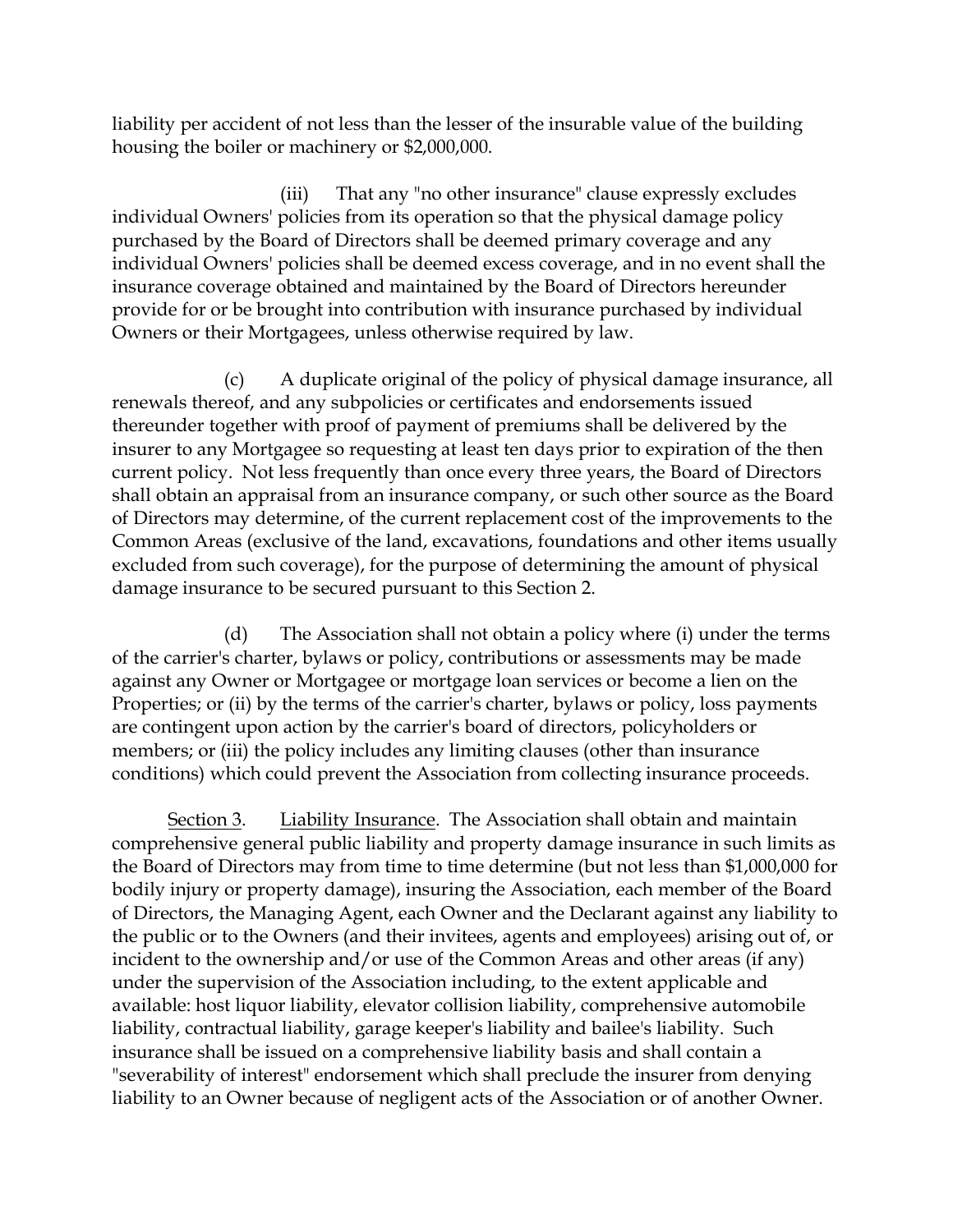liability per accident of not less than the lesser of the insurable value of the building housing the boiler or machinery or \$2,000,000.

(iii) That any "no other insurance" clause expressly excludes individual Owners' policies from its operation so that the physical damage policy purchased by the Board of Directors shall be deemed primary coverage and any individual Owners' policies shall be deemed excess coverage, and in no event shall the insurance coverage obtained and maintained by the Board of Directors hereunder provide for or be brought into contribution with insurance purchased by individual Owners or their Mortgagees, unless otherwise required by law.

(c) A duplicate original of the policy of physical damage insurance, all renewals thereof, and any subpolicies or certificates and endorsements issued thereunder together with proof of payment of premiums shall be delivered by the insurer to any Mortgagee so requesting at least ten days prior to expiration of the then current policy. Not less frequently than once every three years, the Board of Directors shall obtain an appraisal from an insurance company, or such other source as the Board of Directors may determine, of the current replacement cost of the improvements to the Common Areas (exclusive of the land, excavations, foundations and other items usually excluded from such coverage), for the purpose of determining the amount of physical damage insurance to be secured pursuant to this Section 2.

(d) The Association shall not obtain a policy where (i) under the terms of the carrier's charter, bylaws or policy, contributions or assessments may be made against any Owner or Mortgagee or mortgage loan services or become a lien on the Properties; or (ii) by the terms of the carrier's charter, bylaws or policy, loss payments are contingent upon action by the carrier's board of directors, policyholders or members; or (iii) the policy includes any limiting clauses (other than insurance conditions) which could prevent the Association from collecting insurance proceeds.

Section 3. Liability Insurance. The Association shall obtain and maintain comprehensive general public liability and property damage insurance in such limits as the Board of Directors may from time to time determine (but not less than \$1,000,000 for bodily injury or property damage), insuring the Association, each member of the Board of Directors, the Managing Agent, each Owner and the Declarant against any liability to the public or to the Owners (and their invitees, agents and employees) arising out of, or incident to the ownership and/or use of the Common Areas and other areas (if any) under the supervision of the Association including, to the extent applicable and available: host liquor liability, elevator collision liability, comprehensive automobile liability, contractual liability, garage keeper's liability and bailee's liability. Such insurance shall be issued on a comprehensive liability basis and shall contain a "severability of interest" endorsement which shall preclude the insurer from denying liability to an Owner because of negligent acts of the Association or of another Owner.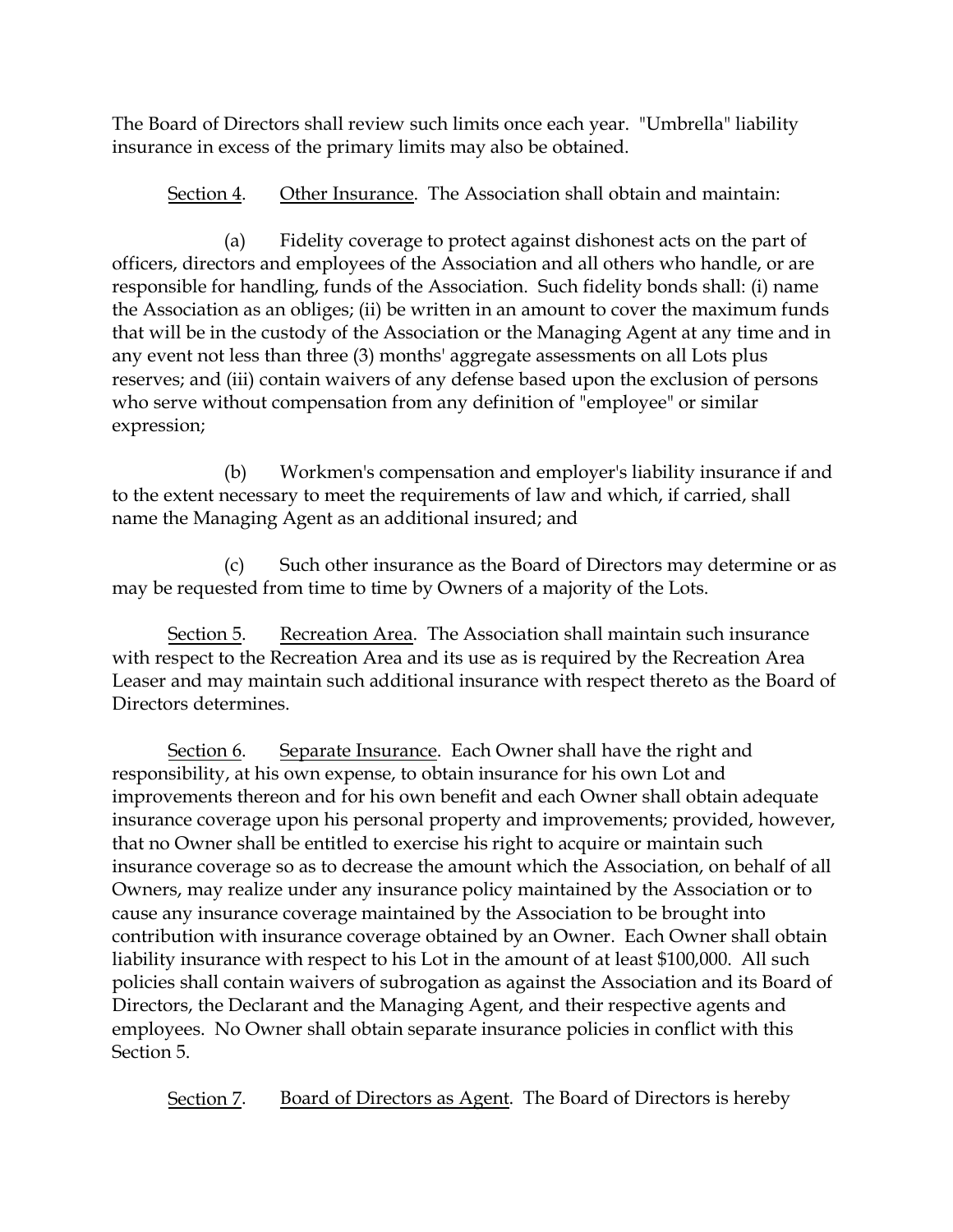The Board of Directors shall review such limits once each year. "Umbrella" liability insurance in excess of the primary limits may also be obtained.

Section 4. Other Insurance. The Association shall obtain and maintain:

(a) Fidelity coverage to protect against dishonest acts on the part of officers, directors and employees of the Association and all others who handle, or are responsible for handling, funds of the Association. Such fidelity bonds shall: (i) name the Association as an obliges; (ii) be written in an amount to cover the maximum funds that will be in the custody of the Association or the Managing Agent at any time and in any event not less than three (3) months' aggregate assessments on all Lots plus reserves; and (iii) contain waivers of any defense based upon the exclusion of persons who serve without compensation from any definition of "employee" or similar expression;

(b) Workmen's compensation and employer's liability insurance if and to the extent necessary to meet the requirements of law and which, if carried, shall name the Managing Agent as an additional insured; and

(c) Such other insurance as the Board of Directors may determine or as may be requested from time to time by Owners of a majority of the Lots.

Section 5. Recreation Area. The Association shall maintain such insurance with respect to the Recreation Area and its use as is required by the Recreation Area Leaser and may maintain such additional insurance with respect thereto as the Board of Directors determines.

Section 6. Separate Insurance. Each Owner shall have the right and responsibility, at his own expense, to obtain insurance for his own Lot and improvements thereon and for his own benefit and each Owner shall obtain adequate insurance coverage upon his personal property and improvements; provided, however, that no Owner shall be entitled to exercise his right to acquire or maintain such insurance coverage so as to decrease the amount which the Association, on behalf of all Owners, may realize under any insurance policy maintained by the Association or to cause any insurance coverage maintained by the Association to be brought into contribution with insurance coverage obtained by an Owner. Each Owner shall obtain liability insurance with respect to his Lot in the amount of at least \$100,000. All such policies shall contain waivers of subrogation as against the Association and its Board of Directors, the Declarant and the Managing Agent, and their respective agents and employees. No Owner shall obtain separate insurance policies in conflict with this Section 5.

Section 7. Board of Directors as Agent. The Board of Directors is hereby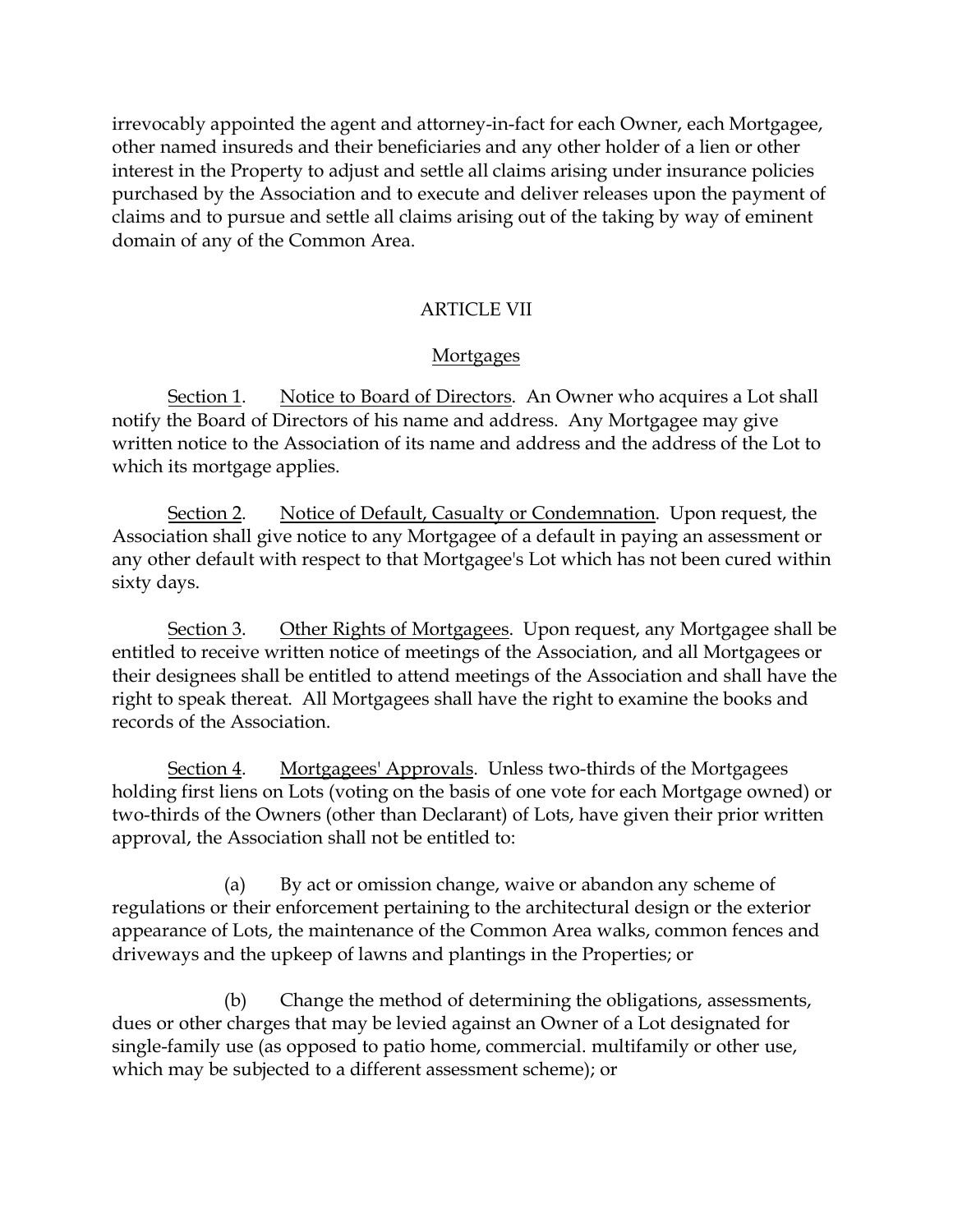irrevocably appointed the agent and attorney-in-fact for each Owner, each Mortgagee, other named insureds and their beneficiaries and any other holder of a lien or other interest in the Property to adjust and settle all claims arising under insurance policies purchased by the Association and to execute and deliver releases upon the payment of claims and to pursue and settle all claims arising out of the taking by way of eminent domain of any of the Common Area.

### ARTICLE VII

### Mortgages

Section 1. Notice to Board of Directors. An Owner who acquires a Lot shall notify the Board of Directors of his name and address. Any Mortgagee may give written notice to the Association of its name and address and the address of the Lot to which its mortgage applies.

Section 2. Notice of Default, Casualty or Condemnation. Upon request, the Association shall give notice to any Mortgagee of a default in paying an assessment or any other default with respect to that Mortgagee's Lot which has not been cured within sixty days.

Section 3. Other Rights of Mortgagees. Upon request, any Mortgagee shall be entitled to receive written notice of meetings of the Association, and all Mortgagees or their designees shall be entitled to attend meetings of the Association and shall have the right to speak thereat. All Mortgagees shall have the right to examine the books and records of the Association.

Section 4. Mortgagees' Approvals. Unless two-thirds of the Mortgagees holding first liens on Lots (voting on the basis of one vote for each Mortgage owned) or two-thirds of the Owners (other than Declarant) of Lots, have given their prior written approval, the Association shall not be entitled to:

(a) By act or omission change, waive or abandon any scheme of regulations or their enforcement pertaining to the architectural design or the exterior appearance of Lots, the maintenance of the Common Area walks, common fences and driveways and the upkeep of lawns and plantings in the Properties; or

(b) Change the method of determining the obligations, assessments, dues or other charges that may be levied against an Owner of a Lot designated for single-family use (as opposed to patio home, commercial. multifamily or other use, which may be subjected to a different assessment scheme); or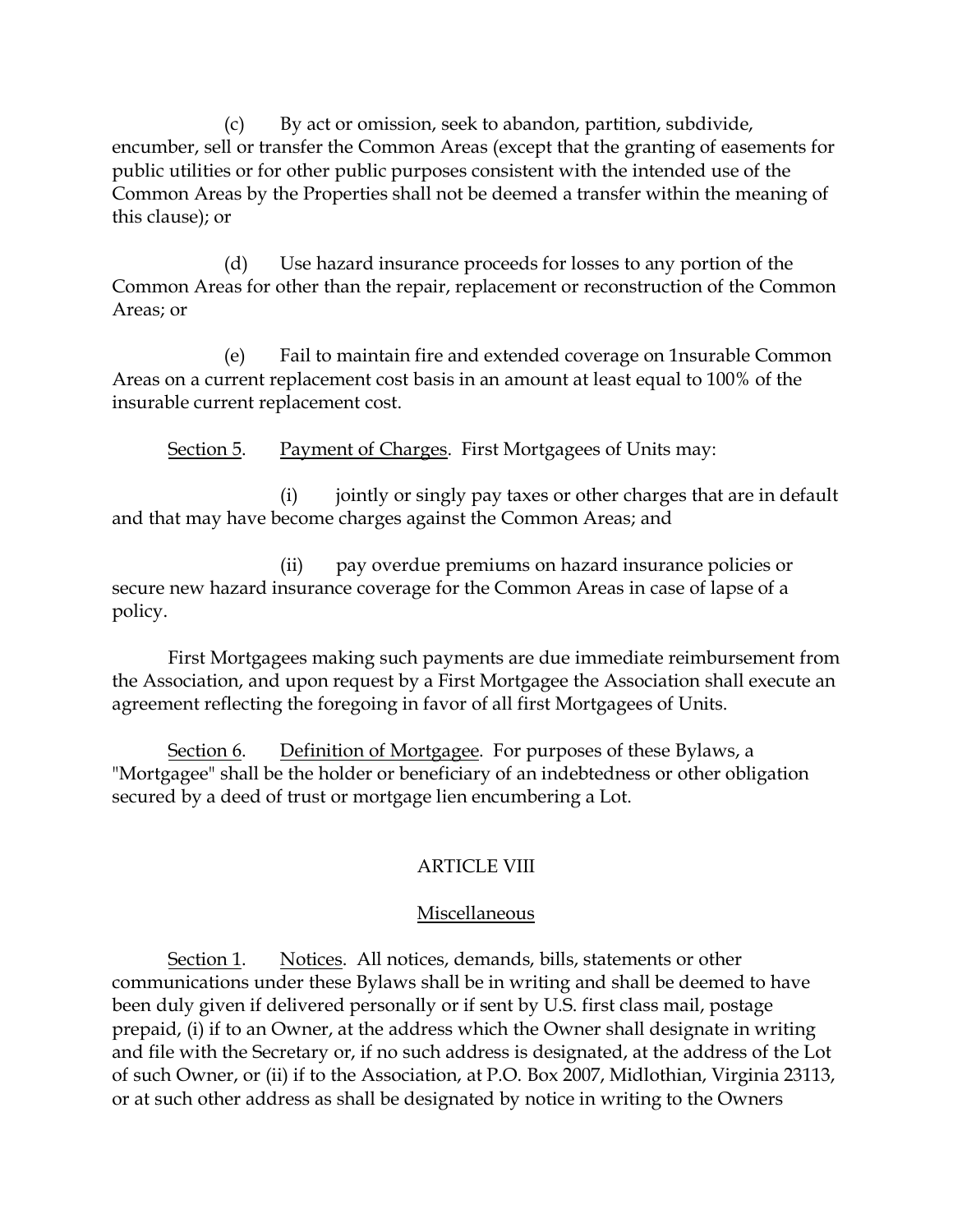(c) By act or omission, seek to abandon, partition, subdivide, encumber, sell or transfer the Common Areas (except that the granting of easements for public utilities or for other public purposes consistent with the intended use of the Common Areas by the Properties shall not be deemed a transfer within the meaning of this clause); or

(d) Use hazard insurance proceeds for losses to any portion of the Common Areas for other than the repair, replacement or reconstruction of the Common Areas; or

(e) Fail to maintain fire and extended coverage on 1nsurable Common Areas on a current replacement cost basis in an amount at least equal to 100% of the insurable current replacement cost.

Section 5. Payment of Charges. First Mortgagees of Units may:

(i) jointly or singly pay taxes or other charges that are in default and that may have become charges against the Common Areas; and

(ii) pay overdue premiums on hazard insurance policies or secure new hazard insurance coverage for the Common Areas in case of lapse of a policy.

First Mortgagees making such payments are due immediate reimbursement from the Association, and upon request by a First Mortgagee the Association shall execute an agreement reflecting the foregoing in favor of all first Mortgagees of Units.

Section 6. Definition of Mortgagee. For purposes of these Bylaws, a "Mortgagee" shall be the holder or beneficiary of an indebtedness or other obligation secured by a deed of trust or mortgage lien encumbering a Lot.

# ARTICLE VIII

# Miscellaneous

Section 1. Notices. All notices, demands, bills, statements or other communications under these Bylaws shall be in writing and shall be deemed to have been duly given if delivered personally or if sent by U.S. first class mail, postage prepaid, (i) if to an Owner, at the address which the Owner shall designate in writing and file with the Secretary or, if no such address is designated, at the address of the Lot of such Owner, or (ii) if to the Association, at P.O. Box 2007, Midlothian, Virginia 23113, or at such other address as shall be designated by notice in writing to the Owners